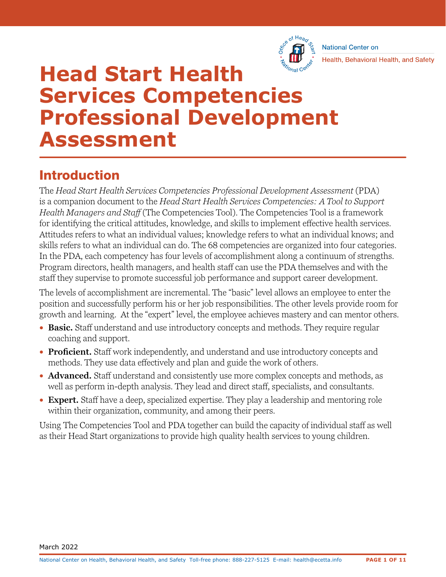

**National Center on** Health, Behavioral Health, and Safety

# **Head Start Health Services Competencies Professional Development Assessment**

## Introduction

The *Head Start Health Services Competencies Professional Development Assessment* (PDA) is a companion document to the *Head Start Health Services Competencies: A Tool to Support Health Managers and Staff* (The Competencies Tool). The Competencies Tool is a framework for identifying the critical attitudes, knowledge, and skills to implement effective health services. Attitudes refers to what an individual values; knowledge refers to what an individual knows; and skills refers to what an individual can do. The 68 competencies are organized into four categories. In the PDA, each competency has four levels of accomplishment along a continuum of strengths. Program directors, health managers, and health staff can use the PDA themselves and with the staff they supervise to promote successful job performance and support career development.

The levels of accomplishment are incremental. The "basic" level allows an employee to enter the position and successfully perform his or her job responsibilities. The other levels provide room for growth and learning. At the "expert" level, the employee achieves mastery and can mentor others.

- **Basic.** Staff understand and use introductory concepts and methods. They require regular coaching and support.
- **Proficient.** Staff work independently, and understand and use introductory concepts and methods. They use data effectively and plan and guide the work of others.
- **Advanced.** Staff understand and consistently use more complex concepts and methods, as well as perform in-depth analysis. They lead and direct staff, specialists, and consultants.
- **Expert.** Staff have a deep, specialized expertise. They play a leadership and mentoring role within their organization, community, and among their peers.

 Using The Competencies Tool and PDA together can build the capacity of individual staff as well as their Head Start organizations to provide high quality health services to young children.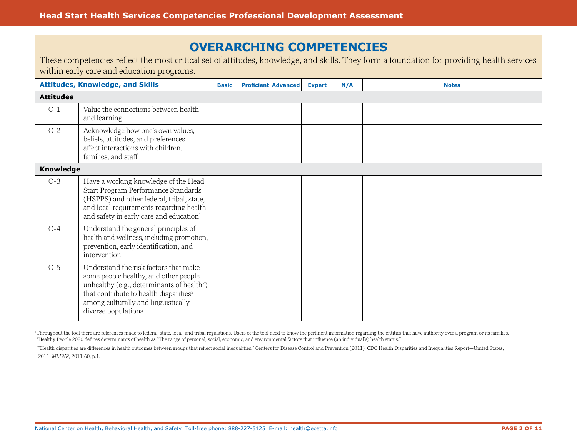## **OVERARCHING COMPETENCIES**

|                  | within early care and education programs.                                                                                                                                                                                                                    |              |                            |               |     | These competencies reflect the most critical set of attitudes, knowledge, and skills. They form a foundation for providing health services |
|------------------|--------------------------------------------------------------------------------------------------------------------------------------------------------------------------------------------------------------------------------------------------------------|--------------|----------------------------|---------------|-----|--------------------------------------------------------------------------------------------------------------------------------------------|
|                  | <b>Attitudes, Knowledge, and Skills</b>                                                                                                                                                                                                                      | <b>Basic</b> | <b>Proficient Advanced</b> | <b>Expert</b> | N/A | <b>Notes</b>                                                                                                                               |
| <b>Attitudes</b> |                                                                                                                                                                                                                                                              |              |                            |               |     |                                                                                                                                            |
| $O-1$            | Value the connections between health<br>and learning                                                                                                                                                                                                         |              |                            |               |     |                                                                                                                                            |
| $O-2$            | Acknowledge how one's own values,<br>beliefs, attitudes, and preferences<br>affect interactions with children,<br>families, and staff                                                                                                                        |              |                            |               |     |                                                                                                                                            |
| <b>Knowledge</b> |                                                                                                                                                                                                                                                              |              |                            |               |     |                                                                                                                                            |
| $O-3$            | Have a working knowledge of the Head<br>Start Program Performance Standards<br>(HSPPS) and other federal, tribal, state,<br>and local requirements regarding health<br>and safety in early care and education <sup>1</sup>                                   |              |                            |               |     |                                                                                                                                            |
| $O-4$            | Understand the general principles of<br>health and wellness, including promotion,<br>prevention, early identification, and<br>intervention                                                                                                                   |              |                            |               |     |                                                                                                                                            |
| $O-5$            | Understand the risk factors that make<br>some people healthy, and other people<br>unhealthy (e.g., determinants of health <sup>2</sup> )<br>that contribute to health disparities <sup>3</sup><br>among culturally and linguistically<br>diverse populations |              |                            |               |     |                                                                                                                                            |

<sup>1</sup>Throughout the tool there are references made to federal, state, local, and tribal regulations. Users of the tool need to know the pertinent information regarding the entities that have authority over a program or its f <sup>2</sup>Healthy People 2020 defines determinants of health as "The range of personal, social, economic, and environmental factors that influence (an individual's) health status."

3 "Health disparities are differences in health outcomes between groups that reflect social inequalities." Centers for Disease Control and Prevention (2011). CDC Health Disparities and Inequalities Report—United States, 2011. *MMWR,* 2011:60, p.1.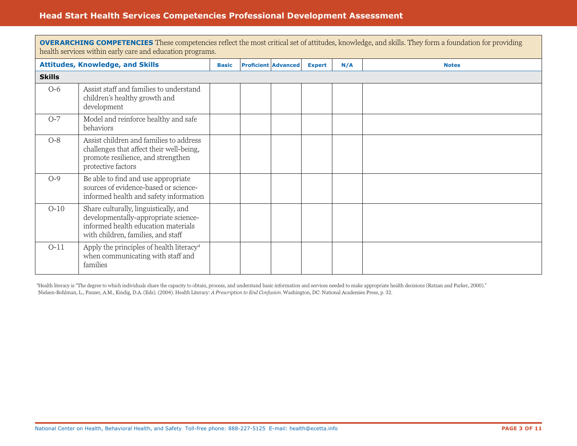|               | <b>OVERARCHING COMPETENCIES</b> These competencies reflect the most critical set of attitudes, knowledge, and skills. They form a foundation for providing<br>health services within early care and education programs. |              |  |                            |               |     |              |  |  |  |
|---------------|-------------------------------------------------------------------------------------------------------------------------------------------------------------------------------------------------------------------------|--------------|--|----------------------------|---------------|-----|--------------|--|--|--|
|               | <b>Attitudes, Knowledge, and Skills</b>                                                                                                                                                                                 | <b>Basic</b> |  | <b>Proficient Advanced</b> | <b>Expert</b> | N/A | <b>Notes</b> |  |  |  |
| <b>Skills</b> |                                                                                                                                                                                                                         |              |  |                            |               |     |              |  |  |  |
| $O-6$         | Assist staff and families to understand<br>children's healthy growth and<br>development                                                                                                                                 |              |  |                            |               |     |              |  |  |  |
| $O-7$         | Model and reinforce healthy and safe<br>behaviors                                                                                                                                                                       |              |  |                            |               |     |              |  |  |  |
| $O-8$         | Assist children and families to address<br>challenges that affect their well-being,<br>promote resilience, and strengthen<br>protective factors                                                                         |              |  |                            |               |     |              |  |  |  |
| $O-9$         | Be able to find and use appropriate<br>sources of evidence-based or science-<br>informed health and safety information                                                                                                  |              |  |                            |               |     |              |  |  |  |
| $O-10$        | Share culturally, linguistically, and<br>developmentally-appropriate science-<br>informed health education materials<br>with children, families, and staff                                                              |              |  |                            |               |     |              |  |  |  |
| $O-11$        | Apply the principles of health literacy <sup>4</sup><br>when communicating with staff and<br>families                                                                                                                   |              |  |                            |               |     |              |  |  |  |

<sup>4</sup>Health literacy is "The degree to which individuals share the capacity to obtain, process, and understand basic information and services needed to make appropriate health decisions (Ratzan and Parker, 2000)." Nielsen-Bohlman, L., Panzer, A.M., Kindig, D.A. (Eds). (2004). Health Literacy: *A Prescription to End Confusion.* Washington, DC: National Academies Press, p. 32.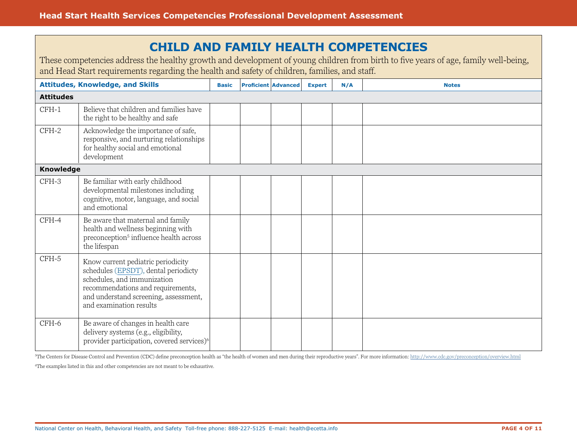## **CHILD AND FAMILY HEALTH COMPETENCIES**

These competencies address the healthy growth and development of young children from birth to five years of age, family well-being, and Head Start requirements regarding the health and safety of children, families, and staff.

|                  | <b>Attitudes, Knowledge, and Skills</b>                                                                                                                                                                            | <b>Basic</b> | <b>Proficient Advanced</b> | <b>Expert</b> | N/A | <b>Notes</b> |
|------------------|--------------------------------------------------------------------------------------------------------------------------------------------------------------------------------------------------------------------|--------------|----------------------------|---------------|-----|--------------|
| <b>Attitudes</b> |                                                                                                                                                                                                                    |              |                            |               |     |              |
| $CFH-1$          | Believe that children and families have<br>the right to be healthy and safe                                                                                                                                        |              |                            |               |     |              |
| $CFH-2$          | Acknowledge the importance of safe,<br>responsive, and nurturing relationships<br>for healthy social and emotional<br>development                                                                                  |              |                            |               |     |              |
| Knowledge        |                                                                                                                                                                                                                    |              |                            |               |     |              |
| CFH-3            | Be familiar with early childhood<br>developmental milestones including<br>cognitive, motor, language, and social<br>and emotional                                                                                  |              |                            |               |     |              |
| CFH-4            | Be aware that maternal and family<br>health and wellness beginning with<br>preconception <sup>5</sup> influence health across<br>the lifespan                                                                      |              |                            |               |     |              |
| CFH-5            | Know current pediatric periodicity<br>schedules (EPSDT), dental periodicty<br>schedules, and immunization<br>recommendations and requirements,<br>and understand screening, assessment,<br>and examination results |              |                            |               |     |              |
| CFH-6            | Be aware of changes in health care<br>delivery systems (e.g., eligibility,<br>provider participation, covered services) <sup>6</sup>                                                                               |              |                            |               |     |              |

<sup>5</sup>The Centers for Disease Control and Prevention (CDC) define preconception health as "the health of women and men during their reproductive years". For more information: [http://www.cdc.gov/preconception/overview.html](https://www.cdc.gov/preconception/overview.html)

<sup>6</sup>The examples listed in this and other competencies are not meant to be exhaustive.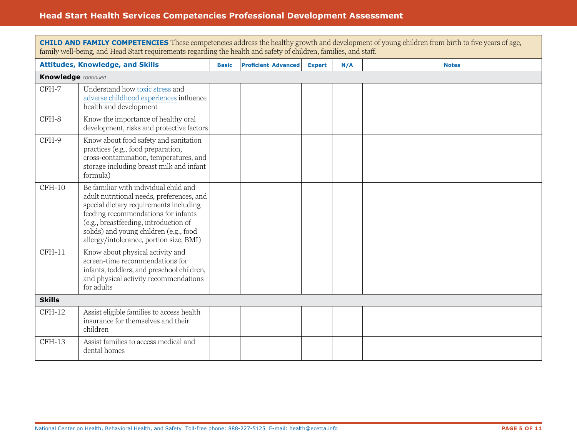|                            | <b>CHILD AND FAMILY COMPETENCIES</b> These competencies address the healthy growth and development of young children from birth to five years of age,<br>family well-being, and Head Start requirements regarding the health and safety of children, families, and staff.                         |              |  |                            |               |     |              |  |  |  |
|----------------------------|---------------------------------------------------------------------------------------------------------------------------------------------------------------------------------------------------------------------------------------------------------------------------------------------------|--------------|--|----------------------------|---------------|-----|--------------|--|--|--|
|                            | <b>Attitudes, Knowledge, and Skills</b>                                                                                                                                                                                                                                                           | <b>Basic</b> |  | <b>Proficient Advanced</b> | <b>Expert</b> | N/A | <b>Notes</b> |  |  |  |
| <b>Knowledge</b> continued |                                                                                                                                                                                                                                                                                                   |              |  |                            |               |     |              |  |  |  |
| CFH-7                      | Understand how toxic stress and<br>adverse childhood experiences influence<br>health and development                                                                                                                                                                                              |              |  |                            |               |     |              |  |  |  |
| CFH-8                      | Know the importance of healthy oral<br>development, risks and protective factors                                                                                                                                                                                                                  |              |  |                            |               |     |              |  |  |  |
| CFH-9                      | Know about food safety and sanitation<br>practices (e.g., food preparation,<br>cross-contamination, temperatures, and<br>storage including breast milk and infant<br>formula)                                                                                                                     |              |  |                            |               |     |              |  |  |  |
| $CFH-10$                   | Be familiar with individual child and<br>adult nutritional needs, preferences, and<br>special dietary requirements including<br>feeding recommendations for infants<br>(e.g., breastfeeding, introduction of<br>solids) and young children (e.g., food<br>allergy/intolerance, portion size, BMI) |              |  |                            |               |     |              |  |  |  |
| $CFH-11$                   | Know about physical activity and<br>screen-time recommendations for<br>infants, toddlers, and preschool children,<br>and physical activity recommendations<br>for adults                                                                                                                          |              |  |                            |               |     |              |  |  |  |
| <b>Skills</b>              |                                                                                                                                                                                                                                                                                                   |              |  |                            |               |     |              |  |  |  |
| $CFH-12$                   | Assist eligible families to access health<br>insurance for themselves and their<br>children                                                                                                                                                                                                       |              |  |                            |               |     |              |  |  |  |
| CFH-13                     | Assist families to access medical and<br>dental homes                                                                                                                                                                                                                                             |              |  |                            |               |     |              |  |  |  |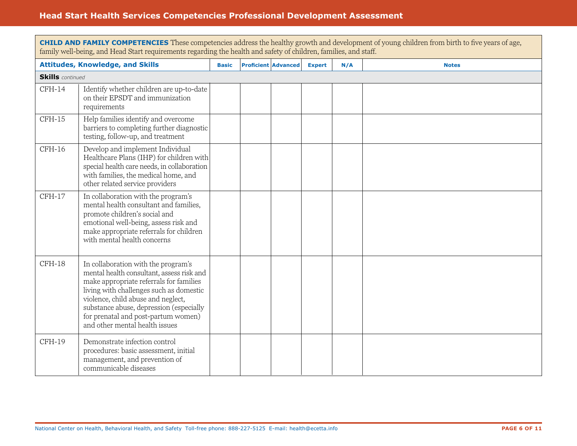|                         | <b>CHILD AND FAMILY COMPETENCIES</b> These competencies address the healthy growth and development of young children from birth to five years of age,<br>family well-being, and Head Start requirements regarding the health and safety of children, families, and staff.                                                        |              |  |                            |               |     |              |  |  |  |
|-------------------------|----------------------------------------------------------------------------------------------------------------------------------------------------------------------------------------------------------------------------------------------------------------------------------------------------------------------------------|--------------|--|----------------------------|---------------|-----|--------------|--|--|--|
|                         | <b>Attitudes, Knowledge, and Skills</b>                                                                                                                                                                                                                                                                                          | <b>Basic</b> |  | <b>Proficient Advanced</b> | <b>Expert</b> | N/A | <b>Notes</b> |  |  |  |
| <b>Skills</b> continued |                                                                                                                                                                                                                                                                                                                                  |              |  |                            |               |     |              |  |  |  |
| $CFH-14$                | Identify whether children are up-to-date<br>on their EPSDT and immunization<br>requirements                                                                                                                                                                                                                                      |              |  |                            |               |     |              |  |  |  |
| $CFH-15$                | Help families identify and overcome<br>barriers to completing further diagnostic<br>testing, follow-up, and treatment                                                                                                                                                                                                            |              |  |                            |               |     |              |  |  |  |
| $CFH-16$                | Develop and implement Individual<br>Healthcare Plans (IHP) for children with<br>special health care needs, in collaboration<br>with families, the medical home, and<br>other related service providers                                                                                                                           |              |  |                            |               |     |              |  |  |  |
| $CFH-17$                | In collaboration with the program's<br>mental health consultant and families,<br>promote children's social and<br>emotional well-being, assess risk and<br>make appropriate referrals for children<br>with mental health concerns                                                                                                |              |  |                            |               |     |              |  |  |  |
| $CFH-18$                | In collaboration with the program's<br>mental health consultant, assess risk and<br>make appropriate referrals for families<br>living with challenges such as domestic<br>violence, child abuse and neglect,<br>substance abuse, depression (especially<br>for prenatal and post-partum women)<br>and other mental health issues |              |  |                            |               |     |              |  |  |  |
| CFH-19                  | Demonstrate infection control<br>procedures: basic assessment, initial<br>management, and prevention of<br>communicable diseases                                                                                                                                                                                                 |              |  |                            |               |     |              |  |  |  |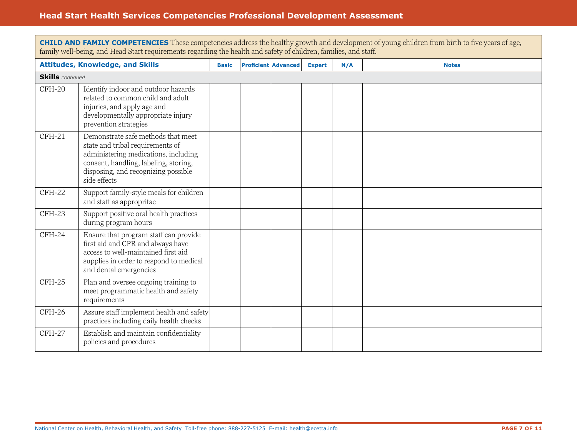|                         | <b>CHILD AND FAMILY COMPETENCIES</b> These competencies address the healthy growth and development of young children from birth to five years of age,<br>family well-being, and Head Start requirements regarding the health and safety of children, families, and staff. |              |  |                            |               |     |              |  |  |  |
|-------------------------|---------------------------------------------------------------------------------------------------------------------------------------------------------------------------------------------------------------------------------------------------------------------------|--------------|--|----------------------------|---------------|-----|--------------|--|--|--|
|                         | <b>Attitudes, Knowledge, and Skills</b>                                                                                                                                                                                                                                   | <b>Basic</b> |  | <b>Proficient Advanced</b> | <b>Expert</b> | N/A | <b>Notes</b> |  |  |  |
| <b>Skills</b> continued |                                                                                                                                                                                                                                                                           |              |  |                            |               |     |              |  |  |  |
| CFH-20                  | Identify indoor and outdoor hazards<br>related to common child and adult<br>injuries, and apply age and<br>developmentally appropriate injury<br>prevention strategies                                                                                                    |              |  |                            |               |     |              |  |  |  |
| $CFH-21$                | Demonstrate safe methods that meet<br>state and tribal requirements of<br>administering medications, including<br>consent, handling, labeling, storing,<br>disposing, and recognizing possible<br>side effects                                                            |              |  |                            |               |     |              |  |  |  |
| CFH-22                  | Support family-style meals for children<br>and staff as appropritae                                                                                                                                                                                                       |              |  |                            |               |     |              |  |  |  |
| CFH-23                  | Support positive oral health practices<br>during program hours                                                                                                                                                                                                            |              |  |                            |               |     |              |  |  |  |
| CFH-24                  | Ensure that program staff can provide<br>first aid and CPR and always have<br>access to well-maintained first aid<br>supplies in order to respond to medical<br>and dental emergencies                                                                                    |              |  |                            |               |     |              |  |  |  |
| CFH-25                  | Plan and oversee ongoing training to<br>meet programmatic health and safety<br>requirements                                                                                                                                                                               |              |  |                            |               |     |              |  |  |  |
| CFH-26                  | Assure staff implement health and safety<br>practices including daily health checks                                                                                                                                                                                       |              |  |                            |               |     |              |  |  |  |
| CFH-27                  | Establish and maintain confidentiality<br>policies and procedures                                                                                                                                                                                                         |              |  |                            |               |     |              |  |  |  |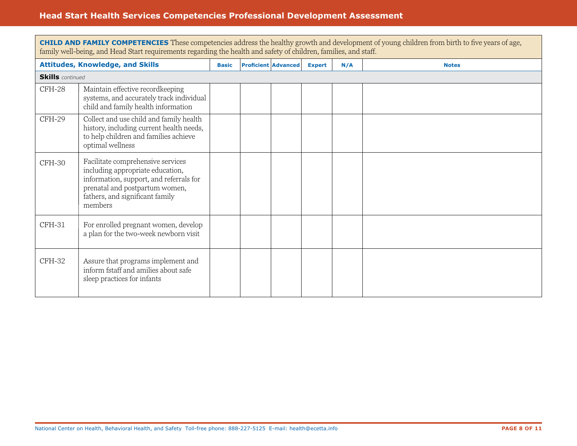|                         | <b>CHILD AND FAMILY COMPETENCIES</b> These competencies address the healthy growth and development of young children from birth to five years of age,<br>family well-being, and Head Start requirements regarding the health and safety of children, families, and staff. |              |  |                            |               |     |              |  |  |  |
|-------------------------|---------------------------------------------------------------------------------------------------------------------------------------------------------------------------------------------------------------------------------------------------------------------------|--------------|--|----------------------------|---------------|-----|--------------|--|--|--|
|                         | <b>Attitudes, Knowledge, and Skills</b>                                                                                                                                                                                                                                   | <b>Basic</b> |  | <b>Proficient Advanced</b> | <b>Expert</b> | N/A | <b>Notes</b> |  |  |  |
| <b>Skills</b> continued |                                                                                                                                                                                                                                                                           |              |  |                            |               |     |              |  |  |  |
| CFH-28                  | Maintain effective recordkeeping<br>systems, and accurately track individual<br>child and family health information                                                                                                                                                       |              |  |                            |               |     |              |  |  |  |
| CFH-29                  | Collect and use child and family health<br>history, including current health needs,<br>to help children and families achieve<br>optimal wellness                                                                                                                          |              |  |                            |               |     |              |  |  |  |
| CFH-30                  | Facilitate comprehensive services<br>including appropriate education,<br>information, support, and referrals for<br>prenatal and postpartum women,<br>fathers, and significant family<br>members                                                                          |              |  |                            |               |     |              |  |  |  |
| CFH-31                  | For enrolled pregnant women, develop<br>a plan for the two-week newborn visit                                                                                                                                                                                             |              |  |                            |               |     |              |  |  |  |
| CFH-32                  | Assure that programs implement and<br>inform fstaff and amilies about safe<br>sleep practices for infants                                                                                                                                                                 |              |  |                            |               |     |              |  |  |  |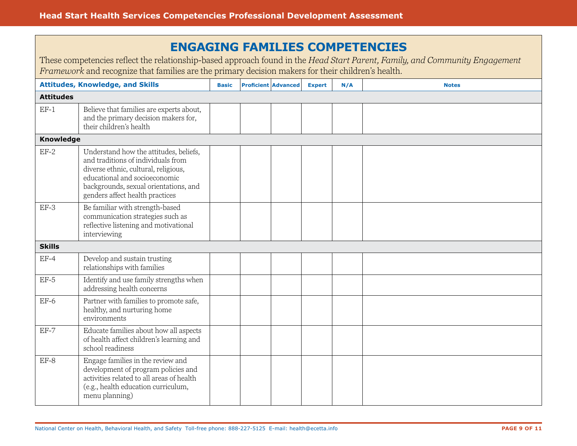| <b>ENGAGING FAMILIES COMPETENCIES</b><br>These competencies reflect the relationship-based approach found in the Head Start Parent, Family, and Community Engagement<br>Framework and recognize that families are the primary decision makers for their children's health. |                                                                                                                                                                                                                                   |              |  |                            |               |     |              |  |  |
|----------------------------------------------------------------------------------------------------------------------------------------------------------------------------------------------------------------------------------------------------------------------------|-----------------------------------------------------------------------------------------------------------------------------------------------------------------------------------------------------------------------------------|--------------|--|----------------------------|---------------|-----|--------------|--|--|
|                                                                                                                                                                                                                                                                            | <b>Attitudes, Knowledge, and Skills</b>                                                                                                                                                                                           | <b>Basic</b> |  | <b>Proficient Advanced</b> | <b>Expert</b> | N/A | <b>Notes</b> |  |  |
| <b>Attitudes</b>                                                                                                                                                                                                                                                           |                                                                                                                                                                                                                                   |              |  |                            |               |     |              |  |  |
| $EF-1$                                                                                                                                                                                                                                                                     | Believe that families are experts about,<br>and the primary decision makers for,<br>their children's health                                                                                                                       |              |  |                            |               |     |              |  |  |
| Knowledge                                                                                                                                                                                                                                                                  |                                                                                                                                                                                                                                   |              |  |                            |               |     |              |  |  |
| $EF-2$                                                                                                                                                                                                                                                                     | Understand how the attitudes, beliefs,<br>and traditions of individuals from<br>diverse ethnic, cultural, religious,<br>educational and socioeconomic<br>backgrounds, sexual orientations, and<br>genders affect health practices |              |  |                            |               |     |              |  |  |
| $EF-3$                                                                                                                                                                                                                                                                     | Be familiar with strength-based<br>communication strategies such as<br>reflective listening and motivational<br>interviewing                                                                                                      |              |  |                            |               |     |              |  |  |
| <b>Skills</b>                                                                                                                                                                                                                                                              |                                                                                                                                                                                                                                   |              |  |                            |               |     |              |  |  |
| $EF-4$                                                                                                                                                                                                                                                                     | Develop and sustain trusting<br>relationships with families                                                                                                                                                                       |              |  |                            |               |     |              |  |  |
| $EF-5$                                                                                                                                                                                                                                                                     | Identify and use family strengths when<br>addressing health concerns                                                                                                                                                              |              |  |                            |               |     |              |  |  |
| $EF-6$                                                                                                                                                                                                                                                                     | Partner with families to promote safe,<br>healthy, and nurturing home<br>environments                                                                                                                                             |              |  |                            |               |     |              |  |  |
| $EF-7$                                                                                                                                                                                                                                                                     | Educate families about how all aspects<br>of health affect children's learning and<br>school readiness                                                                                                                            |              |  |                            |               |     |              |  |  |
| $EF-8$                                                                                                                                                                                                                                                                     | Engage families in the review and<br>development of program policies and<br>activities related to all areas of health<br>(e.g., health education curriculum,<br>menu planning)                                                    |              |  |                            |               |     |              |  |  |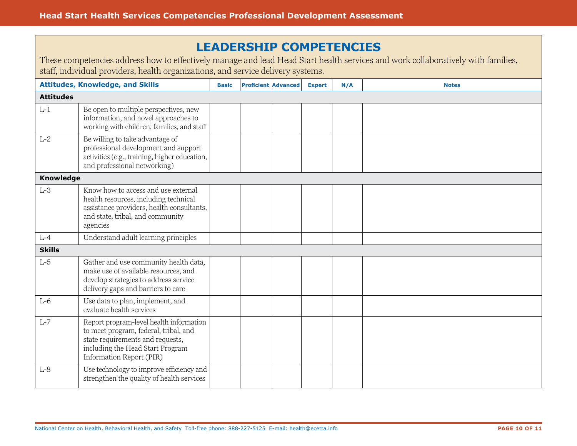## **LEADERSHIP COMPETENCIES**

These competencies address how to effectively manage and lead Head Start health services and work collaboratively with families, staff, individual providers, health organizations, and service delivery systems.

|                  | <b>Attitudes, Knowledge, and Skills</b>                                                                                                                                              | <b>Basic</b> | <b>Proficient Advanced</b> | <b>Expert</b> | N/A | <b>Notes</b> |
|------------------|--------------------------------------------------------------------------------------------------------------------------------------------------------------------------------------|--------------|----------------------------|---------------|-----|--------------|
| <b>Attitudes</b> |                                                                                                                                                                                      |              |                            |               |     |              |
| $L-1$            | Be open to multiple perspectives, new<br>information, and novel approaches to<br>working with children, families, and staff                                                          |              |                            |               |     |              |
| $L-2$            | Be willing to take advantage of<br>professional development and support<br>activities (e.g., training, higher education,<br>and professional networking)                             |              |                            |               |     |              |
| <b>Knowledge</b> |                                                                                                                                                                                      |              |                            |               |     |              |
| $L-3$            | Know how to access and use external<br>health resources, including technical<br>assistance providers, health consultants,<br>and state, tribal, and community<br>agencies            |              |                            |               |     |              |
| $L-4$            | Understand adult learning principles                                                                                                                                                 |              |                            |               |     |              |
| <b>Skills</b>    |                                                                                                                                                                                      |              |                            |               |     |              |
| $L-5$            | Gather and use community health data,<br>make use of available resources, and<br>develop strategies to address service<br>delivery gaps and barriers to care                         |              |                            |               |     |              |
| $L-6$            | Use data to plan, implement, and<br>evaluate health services                                                                                                                         |              |                            |               |     |              |
| $L-7$            | Report program-level health information<br>to meet program, federal, tribal, and<br>state requirements and requests,<br>including the Head Start Program<br>Information Report (PIR) |              |                            |               |     |              |
| $L-8$            | Use technology to improve efficiency and<br>strengthen the quality of health services                                                                                                |              |                            |               |     |              |